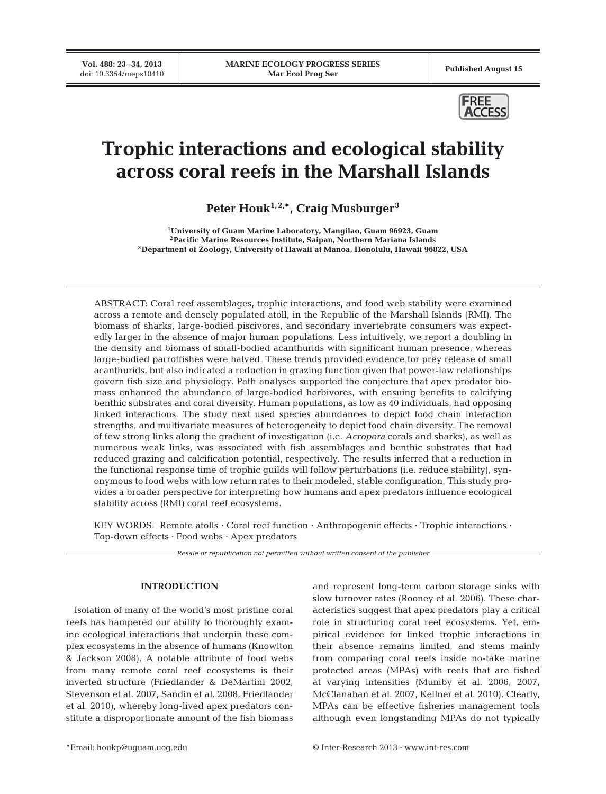**Vol. 488: 23–34, 2013**



# **Trophic interactions and ecological stability across coral reefs in the Marshall Islands**

Peter Houk<sup>1,2,\*</sup>, Craig Musburger<sup>3</sup>

**1University of Guam Marine Laboratory, Mangilao, Guam 96923, Guam 2Pacific Marine Resources Institute, Saipan, Northern Mariana Islands 3Department of Zoology, University of Hawaii at Manoa, Honolulu, Hawaii 96822, USA**

ABSTRACT: Coral reef assemblages, trophic interactions, and food web stability were examined across a remote and densely populated atoll, in the Republic of the Marshall Islands (RMI). The biomass of sharks, large-bodied piscivores, and secondary invertebrate consumers was expectedly larger in the absence of major human populations. Less intuitively, we report a doubling in the density and biomass of small-bodied acanthurids with significant human presence, whereas large-bodied parrotfishes were halved. These trends provided evidence for prey release of small acanthurids, but also indicated a reduction in grazing function given that power-law relationships govern fish size and physiology. Path analyses supported the conjecture that apex predator biomass enhanced the abundance of large-bodied herbivores, with ensuing benefits to calcifying benthic substrates and coral diversity. Human populations, as low as 40 individuals, had opposing linked interactions. The study next used species abundances to depict food chain interaction strengths, and multivariate measures of heterogeneity to depict food chain diversity. The removal of few strong links along the gradient of investigation (i.e. *Acropora* corals and sharks), as well as numerous weak links, was associated with fish assemblages and benthic substrates that had reduced grazing and calcification potential, respectively. The results inferred that a reduction in the functional response time of trophic guilds will follow perturbations (i.e. reduce stability), synonymous to food webs with low return rates to their modeled, stable con figuration. This study provides a broader perspective for interpreting how humans and apex predators influence ecological stability across (RMI) coral reef ecosystems.

KEY WORDS: Remote atolls · Coral reef function · Anthropogenic effects · Trophic interactions · Top-down effects · Food webs · Apex predators

*Resale or republication not permitted without written consent of the publisher*

# **INTRODUCTION**

Isolation of many of the world's most pristine coral reefs has hampered our ability to thoroughly examine ecological interactions that underpin these complex ecosystems in the absence of humans (Knowlton & Jackson 2008). A notable attribute of food webs from many remote coral reef ecosystems is their inverted structure (Friedlander & DeMartini 2002, Stevenson et al. 2007, Sandin et al. 2008, Friedlander et al. 2010), whereby long-lived apex predators constitute a disproportionate amount of the fish biomass

and represent long-term carbon storage sinks with slow turnover rates (Rooney et al. 2006). These characteristics suggest that apex predators play a critical role in structuring coral reef ecosystems. Yet, empirical evidence for linked trophic interactions in their absence remains limited, and stems mainly from comparing coral reefs inside no-take marine protected areas (MPAs) with reefs that are fished at varying intensities (Mumby et al. 2006, 2007, McClanahan et al. 2007, Kellner et al. 2010). Clearly, MPAs can be effective fisheries management tools although even longstanding MPAs do not typically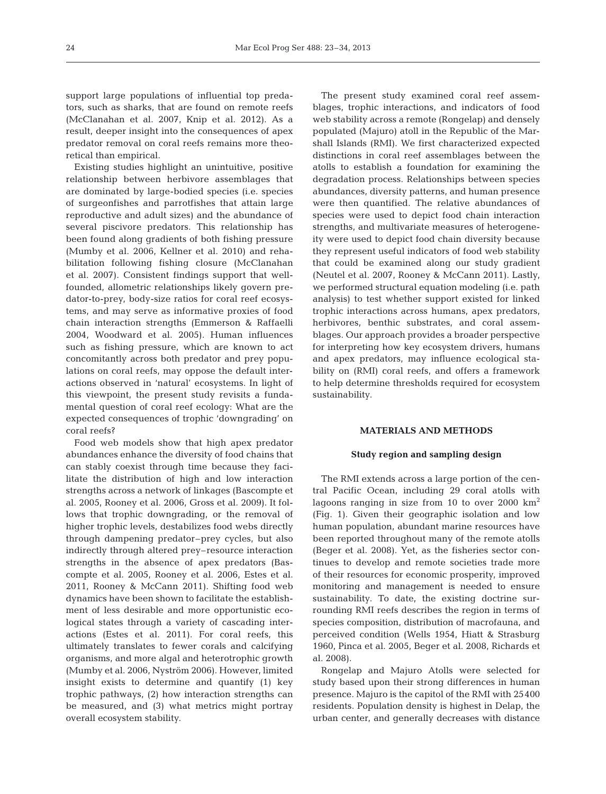support large populations of influential top predators, such as sharks, that are found on remote reefs (McClanahan et al. 2007, Knip et al. 2012). As a result, deeper insight into the consequences of apex predator removal on coral reefs remains more theoretical than empirical.

Existing studies highlight an unintuitive, positive relationship between herbivore assemblages that are dominated by large-bodied species (i.e. species of surgeonfishes and parrotfishes that attain large re productive and adult sizes) and the abundance of several piscivore predators. This relationship has been found along gradients of both fishing pressure (Mumby et al. 2006, Kellner et al. 2010) and rehabilitation following fishing closure (McClanahan et al. 2007). Consistent findings support that wellfounded, allometric relationships likely govern predator-to-prey, body-size ratios for coral reef ecosystems, and may serve as informative proxies of food chain interaction strengths (Emmerson & Raffaelli 2004, Woodward et al. 2005). Human influences such as fishing pressure, which are known to act concomitantly across both predator and prey populations on coral reefs, may oppose the default interactions observed in 'natural' ecosystems. In light of this viewpoint, the present study revisits a fundamental question of coral reef ecology: What are the expected consequences of trophic 'downgrading' on coral reefs?

Food web models show that high apex predator abundances enhance the diversity of food chains that can stably coexist through time because they facilitate the distribution of high and low interaction strengths across a network of linkages (Bascompte et al. 2005, Rooney et al. 2006, Gross et al. 2009). It follows that trophic downgrading, or the removal of higher trophic levels, destabilizes food webs directly through dampening predator–prey cycles, but also indirectly through altered prey–resource interaction strengths in the absence of apex predators (Bascompte et al. 2005, Rooney et al. 2006, Estes et al. 2011, Rooney & McCann 2011). Shifting food web dynamics have been shown to facilitate the establishment of less desirable and more opportunistic ecological states through a variety of cascading interactions (Estes et al. 2011). For coral reefs, this ultimately translates to fewer corals and calcifying organisms, and more algal and heterotrophic growth (Mumby et al. 2006, Nyström 2006). However, limited insight exists to determine and quantify (1) key trophic pathways, (2) how interaction strengths can be measured, and (3) what metrics might portray overall ecosystem stability.

The present study examined coral reef assemblages, trophic interactions, and indicators of food web stability across a remote (Rongelap) and densely populated (Majuro) atoll in the Republic of the Marshall Islands (RMI). We first characterized expected distinctions in coral reef assemblages between the atolls to establish a foundation for examining the degradation process. Relationships between species abundances, diversity patterns, and human presence were then quantified. The relative abundances of species were used to depict food chain interaction strengths, and multivariate measures of heterogeneity were used to depict food chain diversity because they represent useful indicators of food web stability that could be examined along our study gradient (Neutel et al. 2007, Rooney & McCann 2011). Lastly, we performed structural equation modeling (i.e. path analysis) to test whether support existed for linked trophic interactions across humans, apex predators, herbivores, benthic substrates, and coral assemblages. Our approach provides a broader perspective for interpreting how key ecosystem drivers, humans and apex predators, may influence ecological stability on (RMI) coral reefs, and offers a framework to help determine thresholds required for ecosystem sustainability.

## **MATERIALS AND METHODS**

## **Study region and sampling design**

The RMI extends across a large portion of the central Pacific Ocean, including 29 coral atolls with lagoons ranging in size from 10 to over 2000  $km^2$ (Fig. 1). Given their geographic isolation and low human population, abundant marine resources have been reported throughout many of the remote atolls (Beger et al. 2008). Yet, as the fisheries sector continues to develop and remote societies trade more of their resources for economic prosperity, improved monitoring and management is needed to ensure sustainability. To date, the existing doctrine surrounding RMI reefs describes the region in terms of species composition, distribution of macrofauna, and perceived condition (Wells 1954, Hiatt & Strasburg 1960, Pinca et al. 2005, Beger et al. 2008, Richards et al. 2008).

Rongelap and Majuro Atolls were selected for study based upon their strong differences in human presence. Majuro is the capitol of the RMI with 25400 residents. Population density is highest in Delap, the urban center, and generally decreases with distance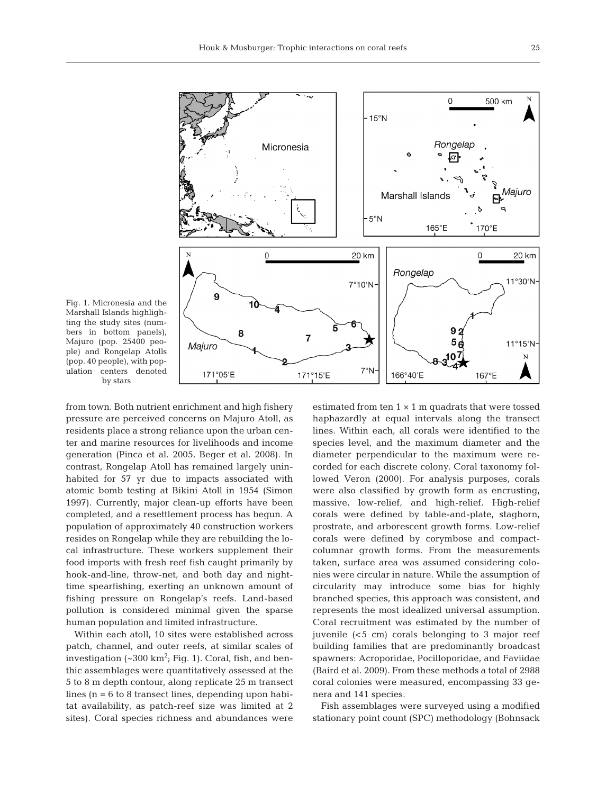

Fig. 1. Micronesia and the Marshall Islands highligh ting the study sites (numbers in bottom panels), Majuro (pop. 25400 people) and Rongelap Atolls (pop. 40 people), with population centers denoted by stars

from town. Both nutrient enrichment and high fishery pressure are perceived concerns on Majuro Atoll, as residents place a strong reliance upon the urban center and marine resources for livelihoods and income generation (Pinca et al. 2005, Beger et al. 2008). In contrast, Rongelap Atoll has remained largely uninhabited for 57 yr due to impacts associated with atomic bomb testing at Bikini Atoll in 1954 (Simon 1997). Currently, major clean-up efforts have been completed, and a resettlement process has begun. A population of approximately 40 construction workers resides on Rongelap while they are rebuilding the local infrastructure. These workers supplement their food imports with fresh reef fish caught primarily by hook-and-line, throw-net, and both day and nighttime spearfishing, exerting an unknown amount of fishing pressure on Rongelap's reefs. Land-based pollution is considered minimal given the sparse human population and limited infrastructure.

Within each atoll, 10 sites were established across patch, channel, and outer reefs, at similar scales of investigation  $({\sim}300\;\rm{km^2};$  Fig. 1). Coral, fish, and benthic assemblages were quantitatively assessed at the 5 to 8 m depth contour, along replicate 25 m transect lines (n = 6 to 8 transect lines, depending upon habitat availability, as patch-reef size was limited at 2 sites). Coral species richness and abundances were

estimated from ten  $1 \times 1$  m quadrats that were tossed haphazardly at equal intervals along the transect lines. Within each, all corals were identified to the species level, and the maximum diameter and the diameter perpendicular to the maximum were recorded for each discrete colony. Coral taxonomy followed Veron (2000). For analysis purposes, corals were also classified by growth form as encrusting, massive, low-relief, and high-relief. High-relief corals were defined by table-and-plate, staghorn, prostrate, and arborescent growth forms. Low-relief corals were defined by corymbose and compactcolumnar growth forms. From the measurements taken, surface area was assumed considering colonies were circular in nature. While the assumption of circularity may introduce some bias for highly branched species, this approach was consistent, and represents the most idealized universal assumption. Coral recruitment was estimated by the number of juvenile (<5 cm) corals belonging to 3 major reef building families that are predominantly broadcast spawners: Acroporidae, Pocilloporidae, and Faviidae (Baird et al. 2009). From these methods a total of 2988 coral colonies were measured, encompassing 33 genera and 141 species.

Fish assemblages were surveyed using a modified stationary point count (SPC) methodology (Bohnsack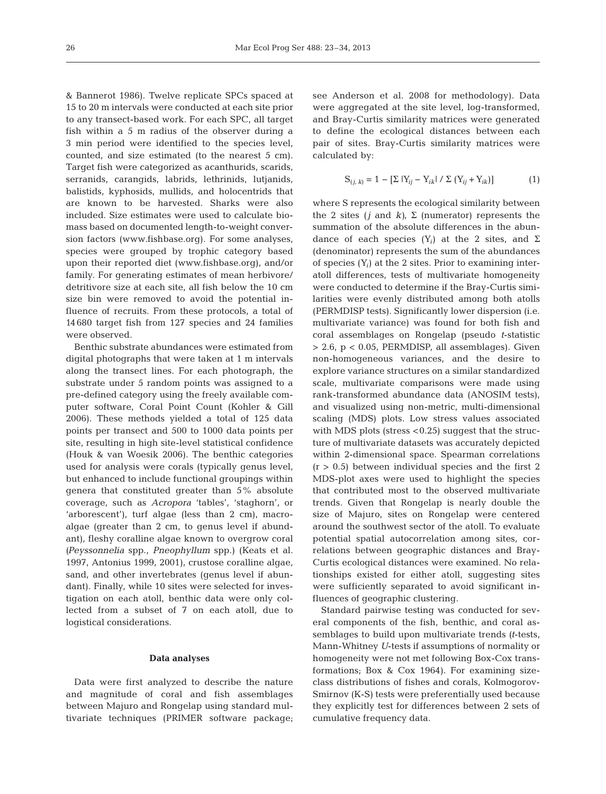& Bannerot 1986). Twelve replicate SPCs spaced at 15 to 20 m intervals were conducted at each site prior to any transect-based work. For each SPC, all target fish within a 5 m radius of the observer during a 3 min period were identified to the species level, counted, and size estimated (to the nearest 5 cm). Target fish were categorized as acanthurids, scarids, serranids, carangids, labrids, lethrinids, lutjanids, balistids, kyphosids, mullids, and holocentrids that are known to be harvested. Sharks were also included. Size estimates were used to calculate biomass based on documented length-to-weight conversion factors (www.fishbase.org). For some analyses, species were grouped by trophic category based upon their reported diet (www.fishbase.org), and/or family. For generating estimates of mean herbivore/ detritivore size at each site, all fish below the 10 cm size bin were removed to avoid the potential influence of recruits. From these protocols, a total of 14680 target fish from 127 species and 24 families were observed.

Benthic substrate abundances were estimated from digital photographs that were taken at 1 m intervals along the transect lines. For each photograph, the substrate under 5 random points was assigned to a pre-defined category using the freely available computer software, Coral Point Count (Kohler & Gill 2006). These methods yielded a total of 125 data points per transect and 500 to 1000 data points per site, resulting in high site-level statistical confidence (Houk & van Woesik 2006). The benthic categories used for analysis were corals (typically genus level, but enhanced to include functional groupings within genera that constituted greater than 5% absolute coverage, such as *Acropora* 'tables', 'staghorn', or 'arborescent'), turf algae (less than 2 cm), macroalgae (greater than 2 cm, to genus level if abundant), fleshy coralline algae known to overgrow coral *(Peyssonnelia* spp., *Pneophyllum* spp.) (Keats et al. 1997, Antonius 1999, 2001), crustose coralline algae, sand, and other invertebrates (genus level if abundant). Finally, while 10 sites were selected for investigation on each atoll, benthic data were only collected from a subset of 7 on each atoll, due to logistical considerations.

## **Data analyses**

Data were first analyzed to describe the nature and magnitude of coral and fish assemblages between Majuro and Rongelap using standard multivariate techniques (PRIMER software package;

see Anderson et al. 2008 for methodology). Data were aggregated at the site level, log-transformed, and Bray-Curtis similarity matrices were generated to define the ecological distances between each pair of sites. Bray-Curtis similarity matrices were calculated by:

$$
S_{(j, k)} = 1 - [\Sigma |Y_{ij} - Y_{ik}| / \Sigma (Y_{ij} + Y_{ik})]
$$
 (1)

where S represents the ecological similarity between the 2 sites ( $j$  and  $k$ ),  $\Sigma$  (numerator) represents the summation of the absolute differences in the abundance of each species  $(Y_i)$  at the 2 sites, and  $\Sigma$ (denominator) represents the sum of the abundances of species (Y*i*) at the 2 sites. Prior to examining interatoll differences, tests of multivariate homogeneity were conducted to determine if the Bray-Curtis similarities were evenly distributed among both atolls (PERMDISP tests). Significantly lower dispersion (i.e. multivariate variance) was found for both fish and coral assemblages on Rongelap (pseudo *t*-statistic > 2.6, p < 0.05, PERMDISP, all assemblages). Given non-homogeneous variances, and the desire to explore variance structures on a similar standardized scale, multivariate comparisons were made using rank-transformed abundance data (ANOSIM tests), and visualized using non-metric, multi-dimensional scaling (MDS) plots. Low stress values associated with MDS plots (stress <0.25) suggest that the structure of multivariate datasets was accurately depicted within 2-dimensional space. Spearman correlations  $(r > 0.5)$  between individual species and the first 2 MDS-plot axes were used to highlight the species that contributed most to the observed multivariate trends. Given that Rongelap is nearly double the size of Majuro, sites on Rongelap were centered around the southwest sector of the atoll. To evaluate potential spatial autocorrelation among sites, correlations between geographic distances and Bray-Curtis ecological distances were examined. No relationships existed for either atoll, suggesting sites were sufficiently separated to avoid significant influences of geographic clustering.

Standard pairwise testing was conducted for several components of the fish, benthic, and coral assemblages to build upon multivariate trends *(t*-tests, Mann-Whitney *U*-tests if assumptions of normality or homogeneity were not met following Box-Cox transformations; Box & Cox 1964). For examining sizeclass distributions of fishes and corals, Kolmogorov-Smirnov (K-S) tests were preferentially used because they explicitly test for differences between 2 sets of cumulative frequency data.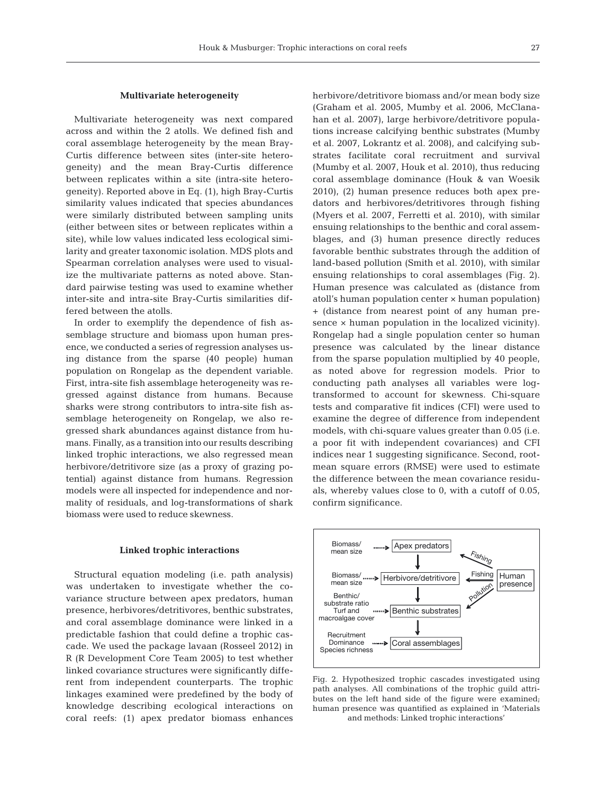## **Multivariate heterogeneity**

Multivariate heterogeneity was next compared across and within the 2 atolls. We defined fish and coral assemblage heterogeneity by the mean Bray-Curtis difference between sites (inter-site heterogeneity) and the mean Bray-Curtis difference between replicates within a site (intra-site heterogeneity). Reported above in Eq. (1), high Bray-Curtis similarity values indicated that species abundances were similarly distributed between sampling units (either between sites or between replicates within a site), while low values indicated less ecological similarity and greater taxonomic isolation. MDS plots and Spearman correlation analyses were used to visualize the multivariate patterns as noted above. Standard pairwise testing was used to examine whether inter-site and intra-site Bray-Curtis similarities differed between the atolls.

In order to exemplify the dependence of fish assemblage structure and biomass upon human presence, we conducted a series of regression analyses using distance from the sparse (40 people) human population on Rongelap as the dependent variable. First, intra-site fish assemblage heterogeneity was regressed against distance from humans. Because sharks were strong contributors to intra-site fish assemblage heterogeneity on Rongelap, we also regressed shark abundances against distance from humans. Finally, as a transition into our results describing linked trophic interactions, we also regressed mean herbivore/detritivore size (as a proxy of grazing potential) against distance from humans. Regression models were all inspected for independence and normality of residuals, and log-transformations of shark biomass were used to reduce skewness.

#### **Linked trophic interactions**

Structural equation modeling (i.e. path analysis) was undertaken to investigate whether the covariance structure between apex predators, human presence, herbivores/detritivores, benthic substrates, and coral assemblage dominance were linked in a predictable fashion that could define a trophic cascade. We used the package lavaan (Rosseel 2012) in R (R Development Core Team 2005) to test whether linked covariance structures were significantly diffe rent from independent counterparts. The trophic linkages examined were predefined by the body of knowledge describing ecological interactions on coral reefs: (1) apex predator biomass enhances herbivore/detritivore biomass and/or mean body size (Graham et al. 2005, Mumby et al. 2006, McClanahan et al. 2007), large herbivore/detritivore populations increase calcifying benthic substrates (Mumby et al. 2007, Lokrantz et al. 2008), and calcifying substrates facilitate coral recruitment and survival (Mumby et al. 2007, Houk et al. 2010), thus reducing coral assemblage dominance (Houk & van Woesik 2010), (2) human presence reduces both apex predators and herbivores/detritivores through fishing (Myers et al. 2007, Ferretti et al. 2010), with similar ensuing relationships to the benthic and coral assemblages, and (3) human presence directly reduces favorable benthic substrates through the addition of land-based pollution (Smith et al. 2010), with similar ensuing relationships to coral assemblages (Fig. 2). Human presence was calculated as (distance from atoll's human population center × human population) + (distance from nearest point of any human pre sence  $\times$  human population in the localized vicinity). Rongelap had a single population center so human presence was calculated by the linear distance from the sparse population multiplied by 40 people, as noted above for regression models. Prior to conducting path analyses all variables were logtransformed to account for skewness. Chi-square tests and comparative fit indices (CFI) were used to examine the degree of difference from independent models, with chi-square values greater than 0.05 (i.e. a poor fit with independent covariances) and CFI indices near 1 suggesting significance. Second, rootmean square errors (RMSE) were used to estimate the difference between the mean covariance residuals, whereby values close to 0, with a cutoff of 0.05, confirm significance.



Fig. 2. Hypothesized trophic cascades investigated using path analyses. All combinations of the trophic guild attributes on the left hand side of the figure were examined; human presence was quantified as explained in 'Materials and methods: Linked trophic interactions'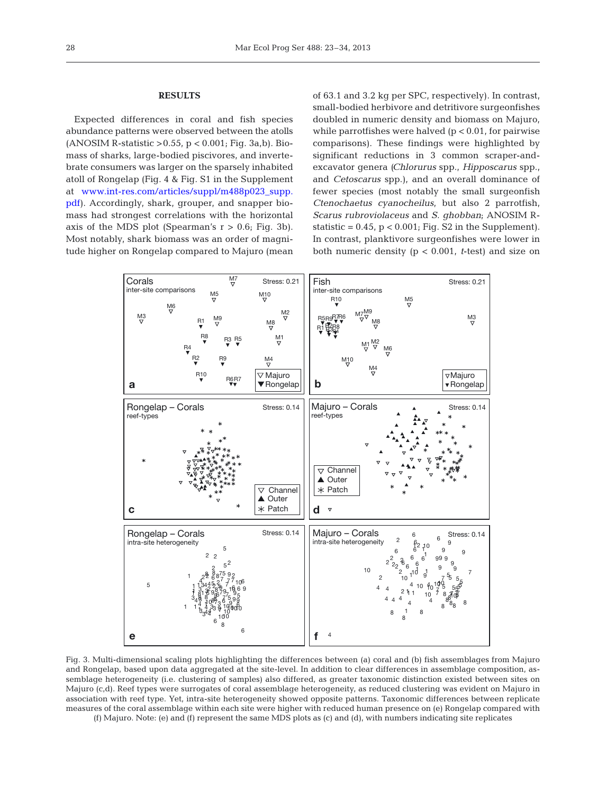# **RESULTS**

Expected differences in coral and fish species abundance patterns were observed between the atolls  $(ANSISM R-statistic > 0.55, p < 0.001; Fig. 3a,b). Bio-$ mass of sharks, large-bodied piscivores, and invertebrate consumers was larger on the sparsely inhabited atoll of Rongelap (Fig.  $4 \&$  Fig. S1 in the Supplement at www.int-res.com/articles/suppl/m488p023\_supp. [pdf\). A](http://www.int-res.com/articles/suppl/m488p023_supp.pdf)ccordingly, shark, grouper, and snapper biomass had strongest correlations with the horizontal axis of the MDS plot (Spearman's  $r > 0.6$ ; Fig. 3b). Most notably, shark biomass was an order of magnitude higher on Rongelap compared to Majuro (mean

of 63.1 and 3.2 kg per SPC, respectively). In contrast, small-bodied herbivore and detritivore surgeonfishes doubled in numeric density and biomass on Majuro, while parrotfishes were halved  $(p < 0.01$ , for pairwise comparisons). These findings were highlighted by significant reductions in 3 common scraper-andexcavator genera *(Chlorurus* spp., *Hipposcarus* spp., and *Cetoscarus* spp.), and an overall dominance of fewer species (most notably the small surgeonfish *Ctenochaetus cyanocheilus*, but also 2 parrotfish, *Scarus rubroviolaceus* and *S. ghobban*; ANOSIM Rstatistic =  $0.45$ ,  $p < 0.001$ ; Fig. S2 in the Supplement). In contrast, planktivore surgeonfishes were lower in both numeric density (p < 0.001, *t*-test) and size on



Fig. 3. Multi-dimensional scaling plots highlighting the differences between (a) coral and (b) fish assemblages from Majuro and Rongelap, based upon data aggregated at the site-level. In addition to clear differences in assemblage composition, assemblage heterogeneity (i.e. clustering of samples) also differed, as greater taxonomic distinction existed between sites on Majuro (c,d). Reef types were surrogates of coral assemblage heterogeneity, as reduced clustering was evident on Majuro in association with reef type. Yet, intra-site heterogeneity showed opposite patterns. Taxonomic differences between replicate measures of the coral assemblage within each site were higher with reduced human presence on (e) Rongelap compared with (f) Majuro. Note: (e) and (f) represent the same MDS plots as (c) and (d), with numbers indicating site replicates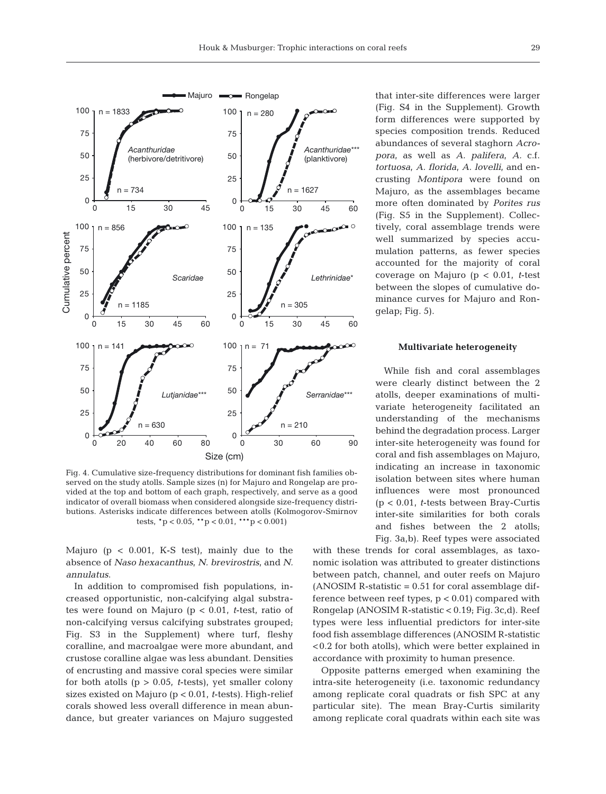

Fig. 4. Cumulative size-frequency distributions for dominant fish families observed on the study atolls. Sample sizes (n) for Majuro and Rongelap are provided at the top and bottom of each graph, respectively, and serve as a good indicator of overall biomass when considered alongside size-frequency distributions. Asterisks indicate differences between atolls (Kolmogorov-Smirnov tests,  ${}^*p < 0.05$ ,  ${}^{**}p < 0.01$ ,  ${}^{***}p < 0.001$ )

Majuro ( $p < 0.001$ , K-S test), mainly due to the absence of *Naso hexacanthus*, *N. brevirostris*, and *N. annulatus*.

In addition to compromised fish populations, increased opportunistic, non-calcifying algal substrates were found on Majuro (p < 0.01, *t*-test, ratio of non-calcifying versus calcifying substrates grouped; Fig. S3 in the Supplement) where turf, fleshy coralline, and macroalgae were more abundant, and crustose coralline algae was less abundant. Densities of encrusting and massive coral species were similar for both atolls (p > 0.05, *t*-tests), yet smaller colony sizes existed on Majuro (p < 0.01, *t*-tests). High-relief corals showed less overall difference in mean abundance, but greater variances on Majuro suggested that inter-site differences were larger (Fig. S4 in the Supplement). Growth form differences were supported by species composition trends. Reduced abundances of several staghorn *Acropora*, as well as *A. palifera*, *A.* c.f. *tortu osa*, *A. florida*, *A. lovelli*, and en crusting *Montipora* were found on Majuro, as the assemblages became more often dominated by *Porites rus* (Fig. S5 in the Supplement). Collectively, coral assemblage trends were well summarized by species accumulation patterns, as fewer species ac counted for the majority of coral coverage on Majuro (p < 0.01, *t*-test between the slopes of cumulative dominance curves for Majuro and Rongelap; Fig. 5).

### **Multivariate heterogeneity**

While fish and coral assemblages were clearly distinct between the 2 atolls, deeper examinations of multivariate heterogeneity facilitated an understanding of the mechanisms behind the degradation process. Larger inter-site heterogeneity was found for coral and fish assemblages on Majuro, indicating an increase in taxonomic isolation between sites where human influences were most pronounced (p < 0.01, *t*-tests between Bray-Curtis inter-site similarities for both corals and fishes between the 2 atolls; Fig. 3a,b). Reef types were associated

with these trends for coral assemblages, as taxonomic isolation was attributed to greater distinctions between patch, channel, and outer reefs on Majuro  $(ANSIMAF-statistic = 0.51$  for coral assemblage difference between reef types,  $p < 0.01$  compared with Rongelap (ANOSIM R-statistic < 0.19; Fig. 3c,d). Reef types were less influential predictors for inter-site food fish assemblage differences (ANOSIM R-statistic <0.2 for both atolls), which were better explained in accordance with proximity to human presence.

Opposite patterns emerged when examining the intra-site heterogeneity (i.e. taxonomic redundancy among replicate coral quadrats or fish SPC at any particular site). The mean Bray-Curtis similarity among replicate coral quadrats within each site was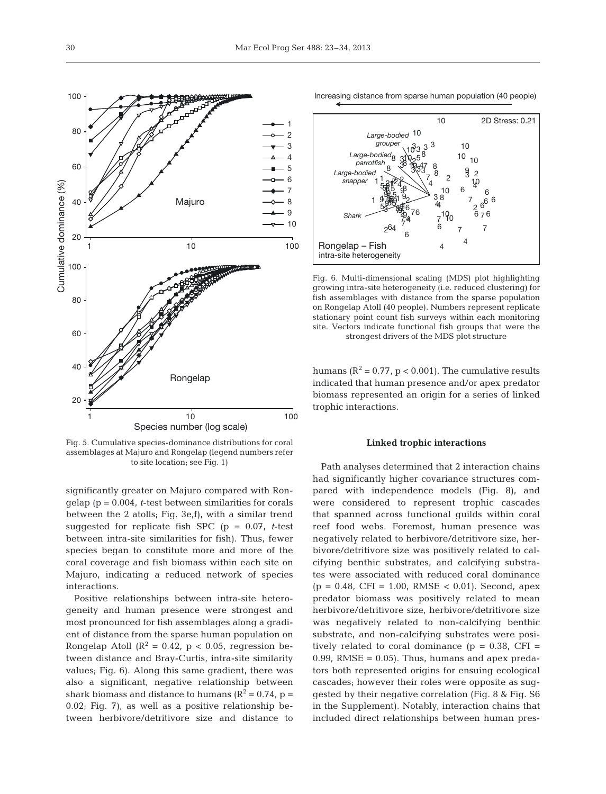

Fig. 5. Cumulative species-dominance distributions for coral assemblages at Majuro and Rongelap (legend numbers refer to site location; see Fig. 1)

significantly greater on Majuro compared with Rongelap (p = 0.004, *t*-test between similarities for corals between the 2 atolls; Fig. 3e,f), with a similar trend suggested for replicate fish SPC (p = 0.07, *t*-test between intra-site similarities for fish). Thus, fewer species began to constitute more and more of the coral coverage and fish biomass within each site on Majuro, indicating a reduced network of species interactions.

Positive relationships between intra-site heterogeneity and human presence were strongest and most pronounced for fish assemblages along a gradient of distance from the sparse human population on Rongelap Atoll ( $R^2 = 0.42$ ,  $p < 0.05$ , regression between distance and Bray-Curtis, intra-site similarity values; Fig. 6). Along this same gradient, there was also a significant, negative relationship between shark biomass and distance to humans ( $R^2 = 0.74$ ,  $p =$ 0.02; Fig. 7), as well as a positive relationship be tween herbivore/detritivore size and distance to

Increasing distance from sparse human population (40 people)



Fig. 6. Multi-dimensional scaling (MDS) plot highlighting growing intra-site heterogeneity (i.e. reduced clustering) for fish assemblages with distance from the sparse population on Rongelap Atoll (40 people). Numbers represent replicate stationary point count fish surveys within each monitoring site. Vectors indicate functional fish groups that were the strongest drivers of the MDS plot structure

humans ( $R^2 = 0.77$ ,  $p < 0.001$ ). The cumulative results indicated that human presence and/or apex predator biomass represented an origin for a series of linked trophic interactions.

#### **Linked trophic interactions**

Path analyses determined that 2 interaction chains had significantly higher covariance structures compared with independence models (Fig. 8), and were considered to represent trophic cascades that spanned across functional guilds within coral reef food webs. Foremost, human presence was negatively related to herbivore/detritivore size, herbivore/detritivore size was positively related to calcifying benthic substrates, and calcifying substra tes were associated with reduced coral dominance  $(p = 0.48, CFI = 1.00, RMSE < 0.01)$ . Second, apex predator biomass was positively related to mean herbivore/detritivore size, herbivore/detritivore size was negatively related to non-calcifying benthic substrate, and non-calcifying substrates were positively related to coral dominance  $(p = 0.38, CFI =$  $0.99$ , RMSE =  $0.05$ ). Thus, humans and apex predators both represented origins for ensuing ecological cascades; however their roles were opposite as suggested by their negative correlation (Fig. 8 & Fig. S6 in the Supplement). Notably, interaction chains that in cluded direct relationships between human pres-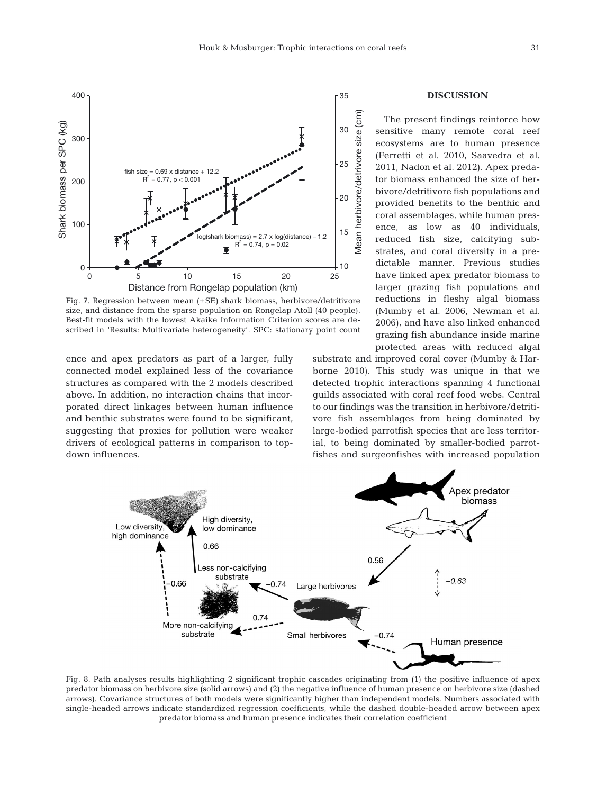

Fig. 7. Regression between mean (±SE) shark biomass, herbivore/detritivore size, and distance from the sparse population on Rongelap Atoll (40 people). Best-fit models with the lowest Akaike Information Criterion scores are described in 'Results: Multivariate heterogeneity'. SPC: stationary point count

ence and apex predators as part of a larger, fully connected model explained less of the covariance structures as compared with the 2 models described above. In addition, no interaction chains that incorporated direct linkages between human influence and benthic substrates were found to be significant, suggesting that proxies for pollution were weaker drivers of ecological patterns in comparison to topdown influences.

# **DISCUSSION**

The present findings reinforce how sensitive many remote coral reef ecosystems are to human presence (Ferretti et al. 2010, Saavedra et al. 2011, Nadon et al. 2012). Apex predator biomass enhanced the size of herbivore/detritivore fish populations and provided benefits to the benthic and coral assemblages, while human presence, as low as 40 individuals, reduced fish size, calcifying substrates, and coral diversity in a predictable manner. Previous studies have linked apex predator biomass to larger grazing fish populations and reductions in fleshy algal biomass (Mumby et al. 2006, Newman et al. 2006), and have also linked enhanced grazing fish abundance inside marine protected areas with reduced algal

substrate and improved coral cover (Mumby & Harborne 2010). This study was unique in that we detected trophic interactions spanning 4 functional guilds associated with coral reef food webs. Central to our findings was the transition in herbivore/detritivore fish assemblages from being dominated by large-bodied parrotfish species that are less territorial, to being dominated by smaller-bodied parrotfishes and surgeonfishes with increased population



Fig. 8. Path analyses results highlighting 2 significant trophic cascades originating from (1) the positive influence of apex predator biomass on herbivore size (solid arrows) and (2) the negative influence of human presence on herbivore size (dashed arrows). Covariance structures of both models were significantly higher than independent models. Numbers associated with single-headed arrows indicate standardized regression coefficients, while the dashed double-headed arrow between apex predator biomass and human presence indicates their correlation coefficient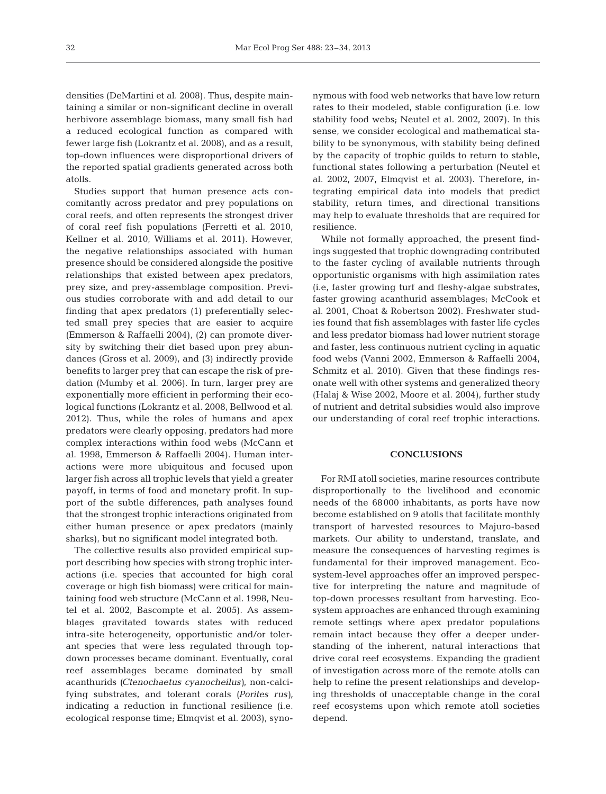densities (DeMartini et al. 2008). Thus, despite maintaining a similar or non-significant decline in overall herbivore assemblage biomass, many small fish had a reduced ecological function as compared with fewer large fish (Lokrantz et al. 2008), and as a result, top-down influences were disproportional drivers of the reported spatial gradients generated across both atolls.

Studies support that human presence acts concomitantly across predator and prey populations on coral reefs, and often represents the strongest driver of coral reef fish populations (Ferretti et al. 2010, Kellner et al. 2010, Williams et al. 2011). However, the negative relationships associated with human presence should be considered alongside the positive relationships that existed between apex predators, prey size, and prey-assemblage composition. Previous studies corroborate with and add detail to our finding that apex predators (1) preferentially selec ted small prey species that are easier to acquire (Emmerson & Raffaelli 2004), (2) can promote diversity by switching their diet based upon prey abundances (Gross et al. 2009), and (3) indirectly provide benefits to larger prey that can escape the risk of predation (Mumby et al. 2006). In turn, larger prey are exponentially more efficient in performing their ecological functions (Lokrantz et al. 2008, Bellwood et al. 2012). Thus, while the roles of humans and apex predators were clearly opposing, predators had more complex interactions within food webs (McCann et al. 1998, Emmerson & Raffaelli 2004). Human interactions were more ubiquitous and focused upon larger fish across all trophic levels that yield a greater payoff, in terms of food and monetary profit. In support of the subtle differences, path analyses found that the strongest trophic interactions originated from either human presence or apex predators (mainly sharks), but no significant model integrated both.

The collective results also provided empirical support describing how species with strong trophic interactions (i.e. species that accounted for high coral coverage or high fish biomass) were critical for maintaining food web structure (McCann et al. 1998, Neutel et al. 2002, Bascompte et al. 2005). As assemblages gravitated towards states with reduced intra-site heterogeneity, opportunistic and/or tolerant species that were less regulated through topdown processes became dominant. Eventually, coral reef assemblages became dominated by small acanthu rids *(Ctenochaetus cyanocheilus)*, non-calcifying substrates, and tolerant corals *(Porites rus),* indicating a reduction in functional resilience (i.e. ecological response time; Elmqvist et al. 2003), synonymous with food web networks that have low return rates to their modeled, stable configuration (i.e. low stability food webs; Neutel et al. 2002, 2007). In this sense, we consider ecological and mathematical stability to be synonymous, with stability being defined by the capacity of trophic guilds to return to stable, functional states following a perturbation (Neutel et al. 2002, 2007, Elmqvist et al. 2003). Therefore, in tegrating empirical data into models that predict stability, return times, and directional transitions may help to evaluate thresholds that are required for resilience.

While not formally approached, the present findings suggested that trophic downgrading contributed to the faster cycling of available nutrients through opportunistic organisms with high assimilation rates (i.e, faster growing turf and fleshy-algae substrates, faster growing acanthurid assemblages; McCook et al. 2001, Choat & Robertson 2002). Freshwater studies found that fish assemblages with faster life cycles and less predator biomass had lower nutrient storage and faster, less continuous nutrient cycling in aquatic food webs (Vanni 2002, Emmerson & Raffaelli 2004, Schmitz et al. 2010). Given that these findings resonate well with other systems and generalized theory (Halaj & Wise 2002, Moore et al. 2004), further study of nutrient and detrital subsidies would also improve our understanding of coral reef trophic interactions.

## **CONCLUSIONS**

For RMI atoll societies, marine resources contribute disproportionally to the livelihood and economic needs of the 68000 inhabitants, as ports have now become established on 9 atolls that facilitate monthly transport of harvested resources to Majuro-based markets. Our ability to understand, translate, and measure the consequences of harvesting regimes is fundamental for their improved management. Ecosystem-level approaches offer an improved perspective for interpreting the nature and magnitude of top-down processes resultant from harvesting. Ecosystem approaches are enhanced through examining remote settings where apex predator populations remain intact because they offer a deeper understanding of the inherent, natural interactions that drive coral reef ecosystems. Expanding the gradient of investigation across more of the remote atolls can help to refine the present relationships and developing thresholds of unacceptable change in the coral reef ecosystems upon which remote atoll societies depend.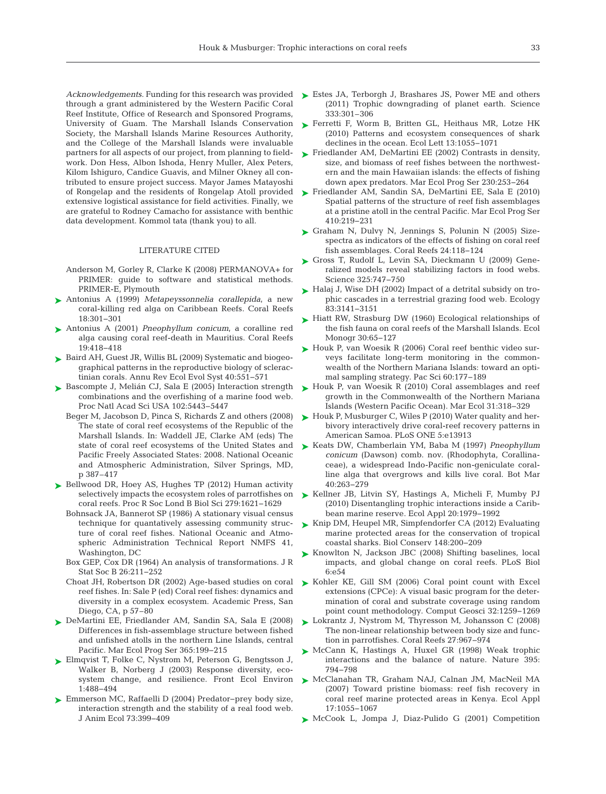*Acknowledgements*. Funding for this research was provided through a grant administered by the Western Pacific Coral Reef Institute, Office of Research and Sponsored Programs, Society, the Marshall Islands Marine Resources Authority, and the College of the Marshall Islands were invaluable partners for all aspects of our project, from planning to fieldwork. Don Hess, Albon Ishoda, Henry Muller, Alex Peters, Kilom Ishiguro, Candice Guavis, and Milner Okney all contributed to ensure project success. Mayor James Matayoshi of Rongelap and the residents of Rongelap Atoll provided extensive logistical assistance for field activities. Finally, we are grateful to Rodney Camacho for assistance with benthic data development. Kommol tata (thank you) to all.

#### LITERATURE CITED

- Anderson M, Gorley R, Clarke K (2008) PERMANOVA+ for PRIMER: guide to software and statistical methods. PRIMER-E, Plymouth
- Antonius A (1999) *[Metapeyssonnelia corallepida](http://dx.doi.org/10.1007/s003380050200)*, a new ➤ coral-killing red alga on Caribbean Reefs. Coral Reefs 18: 301−301
- Antonius A (2001) *[Pneophyllum conicum](http://dx.doi.org/10.1007/s003380000126)*, a coralline red ➤ alga causing coral reef-death in Mauritius. Coral Reefs 19: 418−418
- ► [Baird AH, Guest JR, Willis BL \(2009\) Systematic and biogeo](http://dx.doi.org/10.1146/annurev.ecolsys.110308.120220)graphical patterns in the reproductive biology of scleractinian corals. Annu Rev Ecol Evol Syst 40: 551−571
- ► [Bascompte J, Melián CJ, Sala E \(2005\) Interaction strength](http://dx.doi.org/10.1073/pnas.0501562102) combinations and the overfishing of a marine food web. Proc Natl Acad Sci USA 102:5443-5447
	- Beger M, Jacobson D, Pinca S, Richards Z and others (2008) The state of coral reef ecosystems of the Republic of the Marshall Islands. In:Waddell JE, Clarke AM (eds) The state of coral reef ecosystems of the United States and Pacific Freely Associated States:2008. National Oceanic and Atmospheric Administration, Silver Springs, MD, p 387–417
- ► [Bellwood DR, Hoey AS, Hughes TP \(2012\) Human activity](http://dx.doi.org/10.1098/rspb.2011.1906) selectively impacts the ecosystem roles of parrotfishes on coral reefs. Proc R Soc Lond B Biol Sci 279: 1621−1629
	- Bohnsack JA, Bannerot SP (1986) A stationary visual census technique for quantatively assessing community structure of coral reef fishes. National Oceanic and Atmospheric Administration Technical Report NMFS 41, Washington, DC
	- Box GEP, Cox DR (1964) An analysis of transformations. J R Stat Soc B 26:211-252
	- Choat JH, Robertson DR (2002) Age-based studies on coral reef fishes. In: Sale P (ed) Coral reef fishes: dynamics and diversity in a complex ecosystem. Academic Press, San Diego, CA, p 57–80
- [DeMartini EE, Friedlander AM, Sandin SA, Sala E \(2008\)](http://dx.doi.org/10.3354/meps07501) ➤ Differences in fish-assemblage structure between fished and unfished atolls in the northern Line Islands, central Pacific. Mar Ecol Prog Ser 365: 199−215
- ► [Elmqvist T, Folke C, Nystrom M, Peterson G, Bengtsson J,](http://dx.doi.org/10.1890/1540-9295(2003)001[0488%3ARDECAR]2.0.CO%3B2) Walker B, Norberg J (2003) Response diversity, ecosystem change, and resilience. Front Ecol Environ 1:488−494
- [Emmerson MC, Raffaelli D \(2004\) Predator−prey body size,](http://dx.doi.org/10.1111/j.0021-8790.2004.00818.x) ➤ interaction strength and the stability of a real food web. J Anim Ecol 73: 399−409
- ► [Estes JA, Terborgh J, Brashares JS, Power ME and others](http://dx.doi.org/10.1126/science.1205106) (2011) Trophic downgrading of planet earth. Science 333: 301–306
- University of Guam. The Marshall Islands Conservation  $\blacktriangleright$  [Ferretti F, Worm B, Britten GL, Heithaus MR, Lotze HK](http://www.ncbi.nlm.nih.gov/entrez/query.fcgi?cmd=Retrieve&db=PubMed&list_uids=20528897&dopt=Abstract) (2010) Patterns and ecosystem consequences of shark declines in the ocean. Ecol Lett 13: 1055−1071
	- [Friedlander AM, DeMartini EE \(2002\) Contrasts in density,](http://dx.doi.org/10.3354/meps230253) ➤ size, and biomass of reef fishes between the northwestern and the main Hawaiian islands: the effects of fishing down apex predators. Mar Ecol Prog Ser 230:253−264
	- [Friedlander AM, Sandin SA, DeMartini EE, Sala E \(2010\)](http://dx.doi.org/10.3354/meps08634) ➤ Spatial patterns of the structure of reef fish assemblages at a pristine atoll in the central Pacific. Mar Ecol Prog Ser 410: 219−231
	- ▶ [Graham N, Dulvy N, Jennings S, Polunin N \(2005\) Size](http://dx.doi.org/10.1007/s00338-004-0466-y)spectra as indicators of the effects of fishing on coral reef fish assemblages. Coral Reefs 24: 118−124
	- ► Gross T, Rudolf L, Levin SA, Dieckmann U (2009) Generalized models reveal stabilizing factors in food webs. Science 325: 747−750
	- ► Halaj J, Wise DH (2002) Impact of a detrital subsidy on trophic cascades in a terrestrial grazing food web. Ecology 83: 3141−3151
	- ► [Hiatt RW, Strasburg DW \(1960\) Ecological relationships of](http://dx.doi.org/10.2307/1942181) the fish fauna on coral reefs of the Marshall Islands. Ecol Monogr 30:65-127
	- ► [Houk P, van Woesik R \(2006\) Coral reef benthic video sur](http://dx.doi.org/10.1353/psc.2006.0005)veys facilitate long-term monitoring in the commonwealth of the Northern Mariana Islands: toward an optimal sampling strategy. Pac Sci 60: 177−189
	- ► [Houk P, van Woesik R \(2010\) Coral assemblages and reef](http://dx.doi.org/10.1111/j.1439-0485.2009.00301.x) growth in the Commonwealth of the Northern Mariana Islands (Western Pacific Ocean). Mar Ecol 31: 318−329
	- ► [Houk P, Musburger C, Wiles P \(2010\) Water quality and her](http://dx.doi.org/10.1371/journal.pone.0013913)bivory interactively drive coral-reef recovery patterns in American Samoa. PLoS ONE 5:e13913
	- [Keats DW, Chamberlain YM, Baba M \(1997\)](http://dx.doi.org/10.1515/botm.1997.40.1-6.263) *Pneophyllum* ➤ *conicum* (Dawson) comb. nov. (Rhodophyta, Corallina ceae), a widespread Indo-Pacific non-geniculate coral line alga that overgrows and kills live coral. Bot Mar 40:263−279
	- ▶ [Kellner JB, Litvin SY, Hastings A, Micheli F, Mumby PJ](http://dx.doi.org/10.1890/09-1217.1) (2010) Disentangling trophic interactions inside a Carib bean marine reserve. Ecol Appl 20: 1979−1992
	- ► [Knip DM, Heupel MR, Simpfendorfer CA \(2012\) Evaluating](http://dx.doi.org/10.1016/j.biocon.2012.01.008) marine protected areas for the conservation of tropical coastal sharks. Biol Conserv 148: 200−209
	- ► [Knowlton N, Jackson JBC \(2008\) Shifting baselines, local](http://dx.doi.org/10.1371/journal.pbio.0060054) impacts, and global change on coral reefs. PLoS Biol 6:e54
	- ▶ [Kohler KE, Gill SM \(2006\) Coral point count with Excel](http://dx.doi.org/10.1016/j.cageo.2005.11.009) extensions (CPCe): A visual basic program for the determination of coral and substrate coverage using random point count methodology. Comput Geosci 32: 1259−1269
	- [Lokrantz J, Nystrom M, Thyresson M, Johansson C \(2008\)](http://dx.doi.org/10.1007/s00338-008-0394-3) ➤ The non-linear relationship between body size and function in parrotfishes. Coral Reefs 27: 967−974
	- ▶ [McCann K, Hastings A, Huxel GR \(1998\) Weak trophic](http://dx.doi.org/10.1038/27427) interactions and the balance of nature. Nature 395: 794−798
	- ▶ [McClanahan TR, Graham NAJ, Calnan JM, MacNeil MA](http://dx.doi.org/10.1890/06-1450) (2007) Toward pristine biomass: reef fish recovery in coral reef marine protected areas in Kenya. Ecol Appl 17:1055−1067
	- ▶ [McCook L, Jompa J, Diaz-Pulido G \(2001\) Competition](http://dx.doi.org/10.1007/s003380000129)